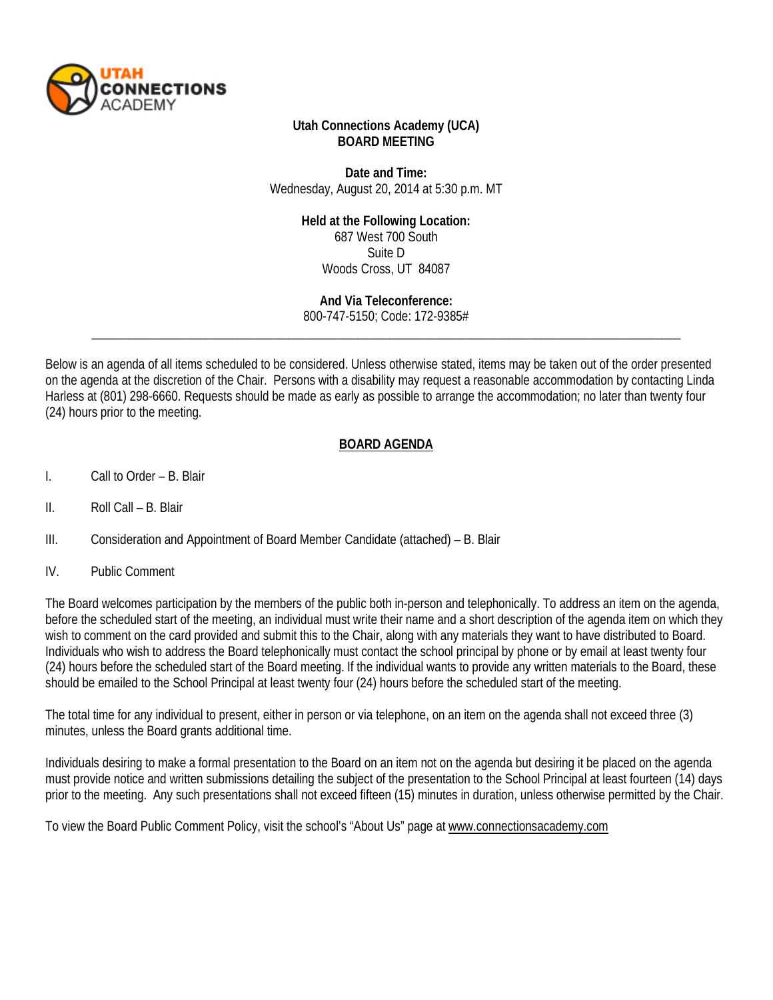

#### **Utah Connections Academy (UCA) BOARD MEETING**

**Date and Time:** Wednesday, August 20, 2014 at 5:30 p.m. MT

#### **Held at the Following Location:**

687 West 700 South Suite D Woods Cross, UT 84087

**And Via Teleconference:**

\_\_\_\_\_\_\_\_\_\_\_\_\_\_\_\_\_\_\_\_\_\_\_\_\_\_\_\_\_\_\_\_\_\_\_\_\_\_\_\_\_\_\_\_\_\_\_\_\_\_\_\_\_\_\_\_\_\_\_\_\_\_\_\_\_\_\_\_\_\_\_\_\_\_\_\_\_\_\_\_\_\_\_\_\_\_\_\_\_\_\_\_\_ 800-747-5150; Code: 172-9385#

Below is an agenda of all items scheduled to be considered. Unless otherwise stated, items may be taken out of the order presented on the agenda at the discretion of the Chair. Persons with a disability may request a reasonable accommodation by contacting Linda Harless at (801) 298-6660. Requests should be made as early as possible to arrange the accommodation; no later than twenty four (24) hours prior to the meeting.

## **BOARD AGENDA**

- I. Call to Order B. Blair
- II. Roll Call B. Blair
- III. Consideration and Appointment of Board Member Candidate (attached) B. Blair
- IV. Public Comment

The Board welcomes participation by the members of the public both in-person and telephonically. To address an item on the agenda, before the scheduled start of the meeting, an individual must write their name and a short description of the agenda item on which they wish to comment on the card provided and submit this to the Chair, along with any materials they want to have distributed to Board. Individuals who wish to address the Board telephonically must contact the school principal by phone or by email at least twenty four (24) hours before the scheduled start of the Board meeting. If the individual wants to provide any written materials to the Board, these should be emailed to the School Principal at least twenty four (24) hours before the scheduled start of the meeting.

The total time for any individual to present, either in person or via telephone, on an item on the agenda shall not exceed three (3) minutes, unless the Board grants additional time.

Individuals desiring to make a formal presentation to the Board on an item not on the agenda but desiring it be placed on the agenda must provide notice and written submissions detailing the subject of the presentation to the School Principal at least fourteen (14) days prior to the meeting. Any such presentations shall not exceed fifteen (15) minutes in duration, unless otherwise permitted by the Chair.

To view the Board Public Comment Policy, visit the school's "About Us" page a[t www.connectionsacademy.com](http://www.connectionsacademy.com/)